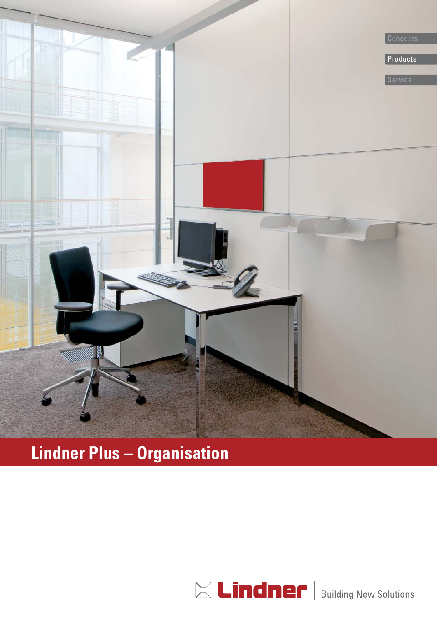

### **Lindner Plus – Organisation**

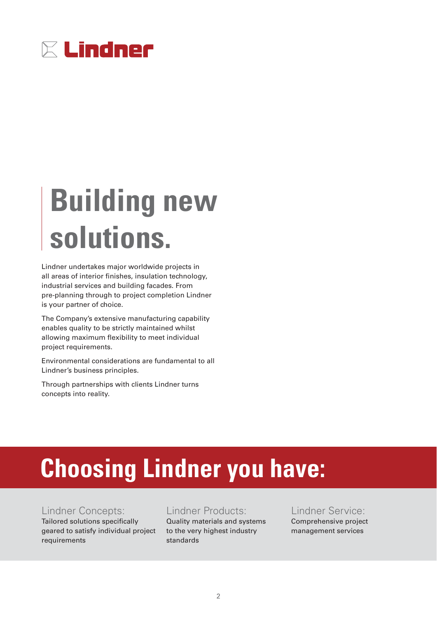

## **Building new solutions.**

Lindner undertakes major worldwide projects in all areas of interior finishes, insulation technology, industrial services and building facades. From pre-planning through to project completion Lindner is your partner of choice.

The Company's extensive manufacturing capability enables quality to be strictly maintained whilst allowing maximum flexibility to meet individual project requirements.

Environmental considerations are fundamental to all Lindner's business principles.

Through partnerships with clients Lindner turns concepts into reality.

## **Choosing Lindner you have:**

#### Lindner Concepts:

Tailored solutions specifically geared to satisfy individual project requirements

#### Lindner Products:

Quality materials and systems to the very highest industry standards

Lindner Service: Comprehensive project management services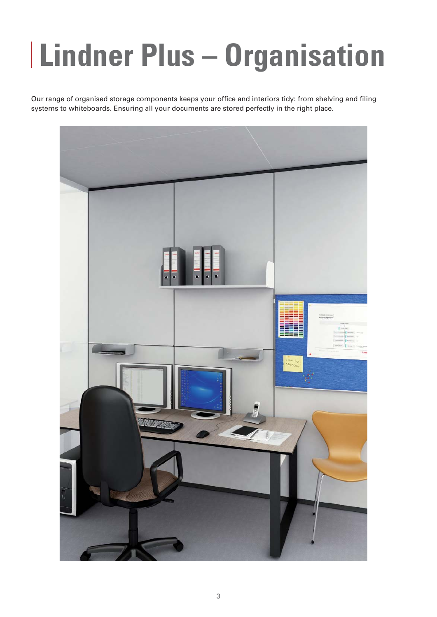# **Lindner Plus – Organisation**

Our range of organised storage components keeps your office and interiors tidy: from shelving and filing systems to whiteboards. Ensuring all your documents are stored perfectly in the right place.

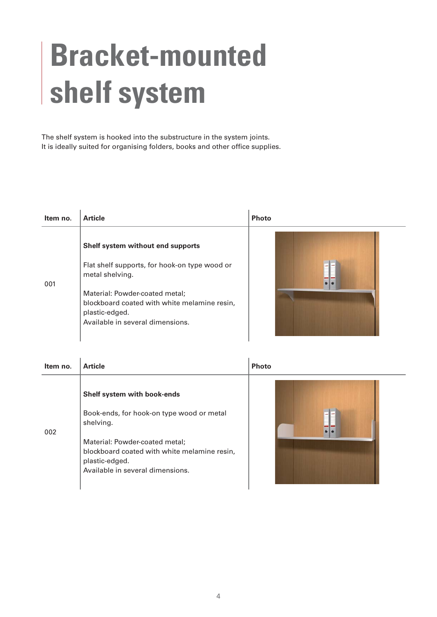## **Bracket-mounted shelf system**

The shelf system is hooked into the substructure in the system joints. It is ideally suited for organising folders, books and other office supplies.

| Item no. | <b>Article</b>                                                                                                                                                                                                                                | <b>Photo</b> |
|----------|-----------------------------------------------------------------------------------------------------------------------------------------------------------------------------------------------------------------------------------------------|--------------|
| 001      | Shelf system without end supports<br>Flat shelf supports, for hook-on type wood or<br>metal shelving.<br>Material: Powder-coated metal;<br>blockboard coated with white melamine resin,<br>plastic-edged.<br>Available in several dimensions. |              |

| Item no. | <b>Article</b>                                                                                                                                                                                                                | <b>Photo</b> |
|----------|-------------------------------------------------------------------------------------------------------------------------------------------------------------------------------------------------------------------------------|--------------|
| 002      | Shelf system with book-ends<br>Book-ends, for hook-on type wood or metal<br>shelving.<br>Material: Powder-coated metal;<br>blockboard coated with white melamine resin,<br>plastic-edged.<br>Available in several dimensions. |              |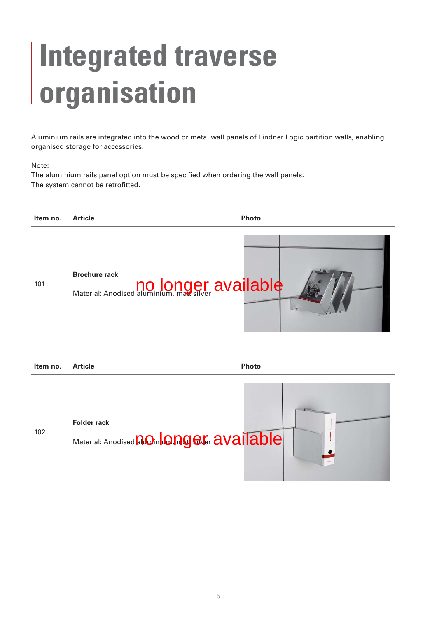## **Integrated traverse organisation**

Aluminium rails are integrated into the wood or metal wall panels of Lindner Logic partition walls, enabling organised storage for accessories.

#### Note:

The aluminium rails panel option must be specified when ordering the wall panels. The system cannot be retrofitted.



| Item no. | <b>Article</b>                                                       | <b>Photo</b> |
|----------|----------------------------------------------------------------------|--------------|
| 102      | <b>Folder rack</b><br>Material: Anodised non Concord Cater available |              |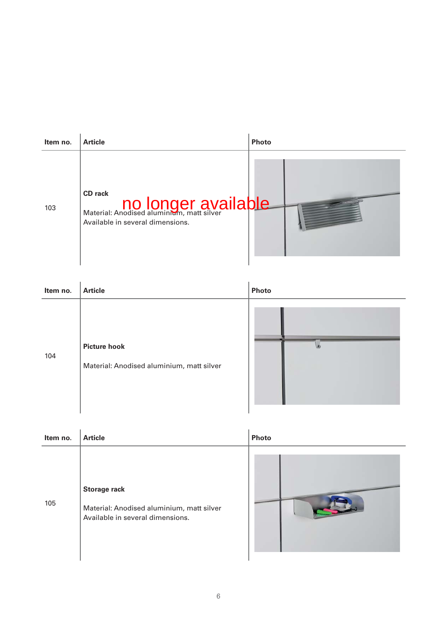| Item no. | <b>Article</b>                                                                                  | <b>Photo</b> |
|----------|-------------------------------------------------------------------------------------------------|--------------|
| 103      | <b>CD</b> rack<br>Material: Anodised aluminium, matt silver<br>Available in several dimensions. |              |

| Item no. | <b>Article</b>                                                   | Photo |
|----------|------------------------------------------------------------------|-------|
| 104      | <b>Picture hook</b><br>Material: Anodised aluminium, matt silver |       |

| Item no. | <b>Article</b>                                                                                       | Photo |
|----------|------------------------------------------------------------------------------------------------------|-------|
| 105      | <b>Storage rack</b><br>Material: Anodised aluminium, matt silver<br>Available in several dimensions. |       |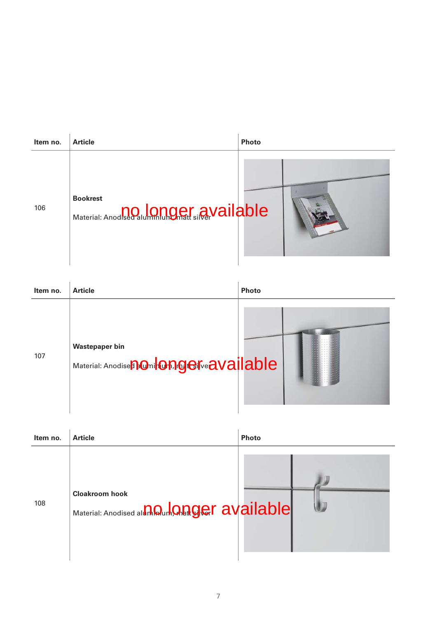| Item no. | <b>Article</b>                                                      | Photo |
|----------|---------------------------------------------------------------------|-------|
| 106      | <b>Bookrest</b><br>Material: Anodised alumnum Dmatt singer vailable |       |

| Item no. | <b>Article</b>                                                                        | <b>Photo</b> |
|----------|---------------------------------------------------------------------------------------|--------------|
| 107      | <b>Wastepaper bin</b><br>Material: Anodise <b>n Onil Ongei<sup>k</sup>e available</b> |              |

| Item no. | <b>Article</b>                                                                  | Photo |
|----------|---------------------------------------------------------------------------------|-------|
| 108      | <b>Cloakroom hook</b><br>Material: Anodised all <b>In Qurk Quager</b> available |       |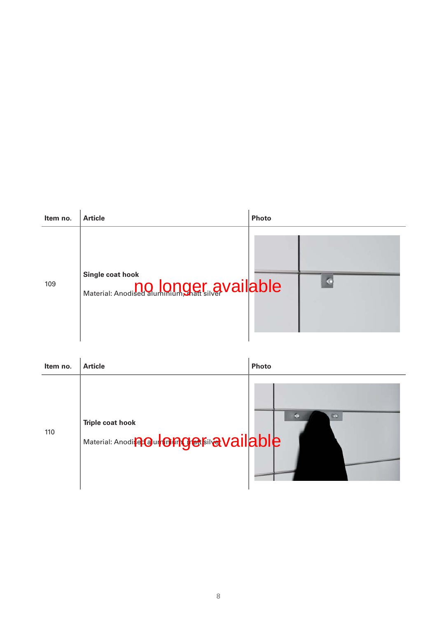| Item no. | <b>Article</b>                                                         | <b>Photo</b> |  |
|----------|------------------------------------------------------------------------|--------------|--|
| 109      | Single coat hook<br>Material: Anodised aluminium gratt silver Vailable |              |  |

| Item no. | <b>Article</b>                                                               | Photo |
|----------|------------------------------------------------------------------------------|-------|
| 110      | <b>Triple coat hook</b><br>Material: Anodis <b>Paul Onges Fil @ Vailable</b> | o     |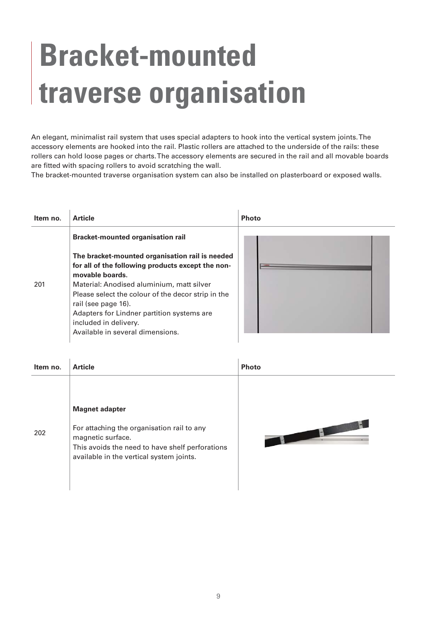## **Bracket-mounted traverse organisation**

An elegant, minimalist rail system that uses special adapters to hook into the vertical system joints. The accessory elements are hooked into the rail. Plastic rollers are attached to the underside of the rails: these rollers can hold loose pages or charts. The accessory elements are secured in the rail and all movable boards are fitted with spacing rollers to avoid scratching the wall.

The bracket-mounted traverse organisation system can also be installed on plasterboard or exposed walls.

| Item no. | <b>Article</b>                                                                                                                                                                                                                                                                                                                                               | <b>Photo</b> |
|----------|--------------------------------------------------------------------------------------------------------------------------------------------------------------------------------------------------------------------------------------------------------------------------------------------------------------------------------------------------------------|--------------|
|          | <b>Bracket-mounted organisation rail</b>                                                                                                                                                                                                                                                                                                                     |              |
| 201      | The bracket-mounted organisation rail is needed<br>for all of the following products except the non-<br>movable boards.<br>Material: Anodised aluminium, matt silver<br>Please select the colour of the decor strip in the<br>rail (see page 16).<br>Adapters for Lindner partition systems are<br>included in delivery.<br>Available in several dimensions. |              |

| Item no. | <b>Article</b>                                                                                                                                                                          | <b>Photo</b> |
|----------|-----------------------------------------------------------------------------------------------------------------------------------------------------------------------------------------|--------------|
| 202      | <b>Magnet adapter</b><br>For attaching the organisation rail to any<br>magnetic surface.<br>This avoids the need to have shelf perforations<br>available in the vertical system joints. |              |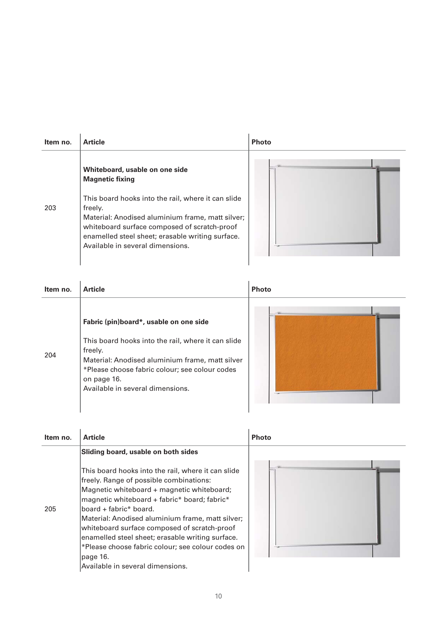| Item no. | <b>Article</b>                                                                                                                                                                                                                                                                                                        | <b>Photo</b> |
|----------|-----------------------------------------------------------------------------------------------------------------------------------------------------------------------------------------------------------------------------------------------------------------------------------------------------------------------|--------------|
| 203      | Whiteboard, usable on one side<br><b>Magnetic fixing</b><br>This board hooks into the rail, where it can slide<br>freely.<br>Material: Anodised aluminium frame, matt silver;<br>whiteboard surface composed of scratch-proof<br>enamelled steel sheet; erasable writing surface.<br>Available in several dimensions. |              |

| Item no. | <b>Article</b>                                                                                                                                                                                                                                                  | <b>Photo</b> |
|----------|-----------------------------------------------------------------------------------------------------------------------------------------------------------------------------------------------------------------------------------------------------------------|--------------|
| 204      | Fabric (pin)board*, usable on one side<br>This board hooks into the rail, where it can slide<br>freely.<br>Material: Anodised aluminium frame, matt silver<br>*Please choose fabric colour; see colour codes<br>on page 16.<br>Available in several dimensions. |              |

| Item no. | <b>Article</b>                                                                                                                                                                                                                                                                                                                                                                                                                                                                     | <b>Photo</b> |
|----------|------------------------------------------------------------------------------------------------------------------------------------------------------------------------------------------------------------------------------------------------------------------------------------------------------------------------------------------------------------------------------------------------------------------------------------------------------------------------------------|--------------|
|          | Sliding board, usable on both sides                                                                                                                                                                                                                                                                                                                                                                                                                                                |              |
| 205      | This board hooks into the rail, where it can slide<br>freely. Range of possible combinations:<br>Magnetic whiteboard + magnetic whiteboard;<br>magnetic whiteboard + fabric* board; fabric*<br>board + fabric* board.<br>Material: Anodised aluminium frame, matt silver;<br>whiteboard surface composed of scratch-proof<br>enamelled steel sheet; erasable writing surface.<br>*Please choose fabric colour; see colour codes on<br>page 16.<br>Available in several dimensions. |              |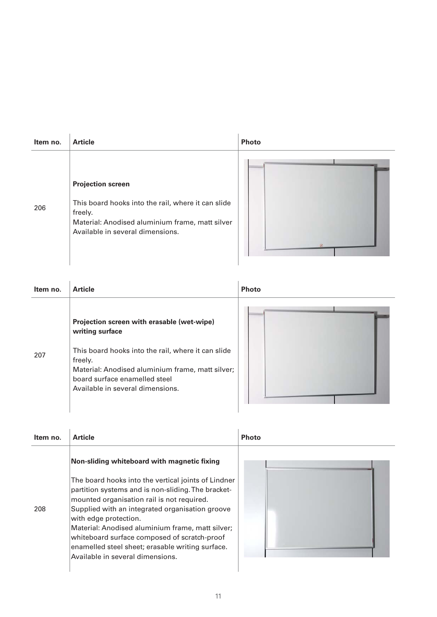| Item no. | <b>Article</b>                                                                                                                                                                   | <b>Photo</b> |
|----------|----------------------------------------------------------------------------------------------------------------------------------------------------------------------------------|--------------|
| 206      | <b>Projection screen</b><br>This board hooks into the rail, where it can slide<br>freely.<br>Material: Anodised aluminium frame, matt silver<br>Available in several dimensions. | 两            |

| Item no. | <b>Article</b>                                                                                                                                                                         | <b>Photo</b> |
|----------|----------------------------------------------------------------------------------------------------------------------------------------------------------------------------------------|--------------|
|          | Projection screen with erasable (wet-wipe)<br>writing surface                                                                                                                          |              |
| 207      | This board hooks into the rail, where it can slide<br>freely.<br>Material: Anodised aluminium frame, matt silver;<br>board surface enamelled steel<br>Available in several dimensions. |              |

| Item no. | <b>Article</b>                                                                                                                                                                                                                                                                                                                                                                                                                  | <b>Photo</b> |
|----------|---------------------------------------------------------------------------------------------------------------------------------------------------------------------------------------------------------------------------------------------------------------------------------------------------------------------------------------------------------------------------------------------------------------------------------|--------------|
|          | Non-sliding whiteboard with magnetic fixing                                                                                                                                                                                                                                                                                                                                                                                     |              |
| 208      | The board hooks into the vertical joints of Lindner<br>partition systems and is non-sliding. The bracket-<br>mounted organisation rail is not required.<br>Supplied with an integrated organisation groove<br>with edge protection.<br>Material: Anodised aluminium frame, matt silver;<br>whiteboard surface composed of scratch-proof<br>enamelled steel sheet; erasable writing surface.<br>Available in several dimensions. |              |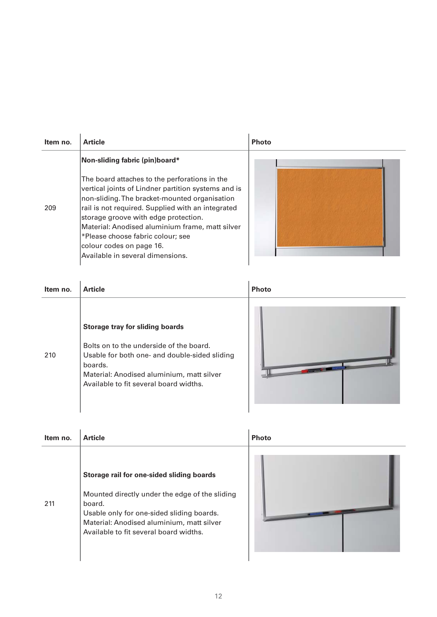| Item no. | <b>Article</b>                                                                                                                                                                                                                                                                                                                                                                                           | <b>Photo</b> |
|----------|----------------------------------------------------------------------------------------------------------------------------------------------------------------------------------------------------------------------------------------------------------------------------------------------------------------------------------------------------------------------------------------------------------|--------------|
| 209      | Non-sliding fabric (pin)board*<br>The board attaches to the perforations in the<br>vertical joints of Lindner partition systems and is<br>non-sliding. The bracket-mounted organisation<br>rail is not required. Supplied with an integrated<br>storage groove with edge protection.<br>Material: Anodised aluminium frame, matt silver<br>*Please choose fabric colour; see<br>colour codes on page 16. |              |
|          | Available in several dimensions.                                                                                                                                                                                                                                                                                                                                                                         |              |

| Item no. | <b>Article</b>                                                                                                                                                                                                                       | <b>Photo</b> |
|----------|--------------------------------------------------------------------------------------------------------------------------------------------------------------------------------------------------------------------------------------|--------------|
| 210      | <b>Storage tray for sliding boards</b><br>Bolts on to the underside of the board.<br>Usable for both one- and double-sided sliding<br>boards.<br>Material: Anodised aluminium, matt silver<br>Available to fit several board widths. |              |

| Item no. | <b>Article</b>                                                                                                                                                                                                                            | <b>Photo</b> |
|----------|-------------------------------------------------------------------------------------------------------------------------------------------------------------------------------------------------------------------------------------------|--------------|
| 211      | Storage rail for one-sided sliding boards<br>Mounted directly under the edge of the sliding<br>board.<br>Usable only for one-sided sliding boards.<br>Material: Anodised aluminium, matt silver<br>Available to fit several board widths. |              |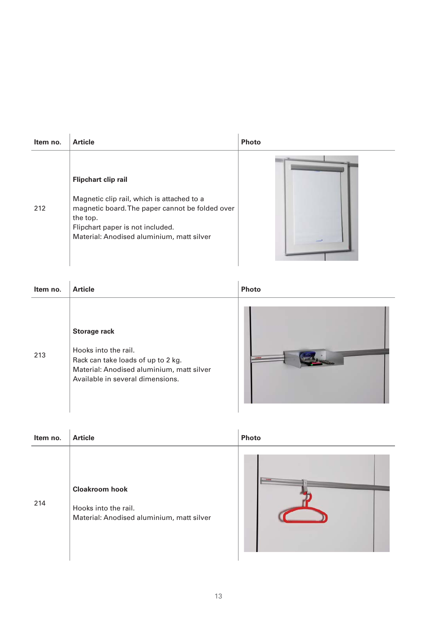| Item no. | <b>Article</b>                                                                                                                                                                                                           | <b>Photo</b> |
|----------|--------------------------------------------------------------------------------------------------------------------------------------------------------------------------------------------------------------------------|--------------|
| 212      | <b>Flipchart clip rail</b><br>Magnetic clip rail, which is attached to a<br>magnetic board. The paper cannot be folded over<br>the top.<br>Flipchart paper is not included.<br>Material: Anodised aluminium, matt silver |              |

| Item no. | <b>Article</b>                                                                                                                                                     | <b>Photo</b> |
|----------|--------------------------------------------------------------------------------------------------------------------------------------------------------------------|--------------|
| 213      | <b>Storage rack</b><br>Hooks into the rail.<br>Rack can take loads of up to 2 kg.<br>Material: Anodised aluminium, matt silver<br>Available in several dimensions. |              |

| Item no. | <b>Article</b>                                                                             | <b>Photo</b> |
|----------|--------------------------------------------------------------------------------------------|--------------|
| 214      | <b>Cloakroom hook</b><br>Hooks into the rail.<br>Material: Anodised aluminium, matt silver |              |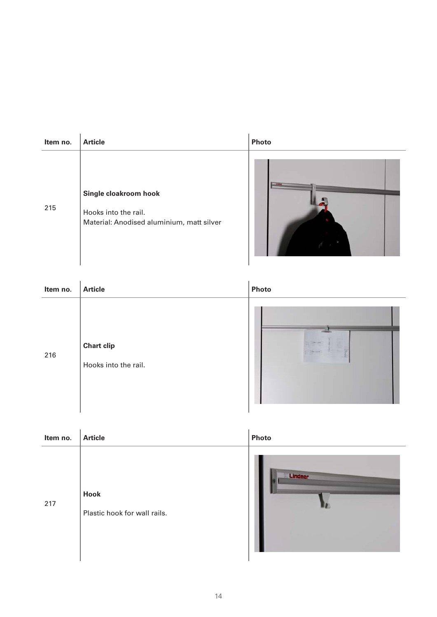| Item no. | <b>Article</b>                                                                             | Photo |
|----------|--------------------------------------------------------------------------------------------|-------|
| 215      | Single cloakroom hook<br>Hooks into the rail.<br>Material: Anodised aluminium, matt silver |       |

| Item no. | <b>Article</b>                            | Photo                                                                                                                                                                                                                                                                                                                                                                       |
|----------|-------------------------------------------|-----------------------------------------------------------------------------------------------------------------------------------------------------------------------------------------------------------------------------------------------------------------------------------------------------------------------------------------------------------------------------|
| 216      | <b>Chart clip</b><br>Hooks into the rail. | $\frac{1}{2} \sum_{i=1}^n \frac{1}{2} \sum_{i=1}^n \frac{1}{2} \sum_{i=1}^n \frac{1}{2} \sum_{i=1}^n \frac{1}{2} \sum_{i=1}^n \frac{1}{2} \sum_{i=1}^n \frac{1}{2} \sum_{i=1}^n \frac{1}{2} \sum_{i=1}^n \frac{1}{2} \sum_{i=1}^n \frac{1}{2} \sum_{i=1}^n \frac{1}{2} \sum_{i=1}^n \frac{1}{2} \sum_{i=1}^n \frac{1}{2} \sum_{i=1}^n \frac{1}{2} \sum_{i=$<br><b>Shown</b> |

| Item no. | <b>Article</b>                       | Photo   |
|----------|--------------------------------------|---------|
| 217      | Hook<br>Plastic hook for wall rails. | Lindner |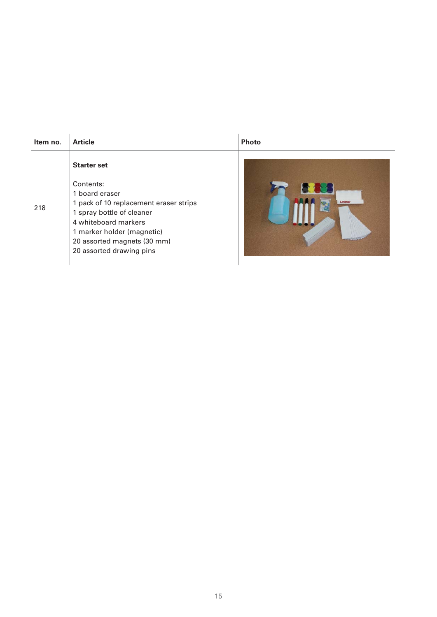| Item no. | <b>Article</b>                                                                                                                                                                                                | <b>Photo</b> |
|----------|---------------------------------------------------------------------------------------------------------------------------------------------------------------------------------------------------------------|--------------|
| 218      | <b>Starter set</b><br>Contents:<br>1 board eraser<br>1 pack of 10 replacement eraser strips<br>1 spray bottle of cleaner<br>4 whiteboard markers<br>1 marker holder (magnetic)<br>20 assorted magnets (30 mm) |              |
|          | 20 assorted drawing pins                                                                                                                                                                                      |              |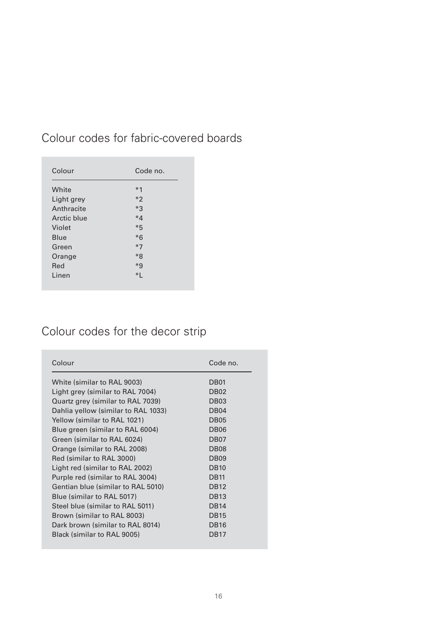| Colour      | Code no. |
|-------------|----------|
| White       | $*1$     |
| Light grey  | $*$ 2    |
| Anthracite  | $*3$     |
| Arctic blue | $*4$     |
| Violet      | $*5$     |
| Blue        | $*6$     |
| Green       | $*7$     |
| Orange      | $*8$     |
| Red         | $*g$     |
| Linen       | $*1$     |

### Colour codes for fabric-covered boards

### Colour codes for the decor strip

| Colour                              | Code no.         |
|-------------------------------------|------------------|
| White (similar to RAL 9003)         | DB <sub>01</sub> |
| Light grey (similar to RAL 7004)    | DB <sub>02</sub> |
| Quartz grey (similar to RAL 7039)   | DB <sub>03</sub> |
| Dahlia yellow (similar to RAL 1033) | DB <sub>04</sub> |
| Yellow (similar to RAL 1021)        | DB <sub>05</sub> |
| Blue green (similar to RAL 6004)    | DB <sub>06</sub> |
| Green (similar to RAL 6024)         | DB <sub>07</sub> |
| Orange (similar to RAL 2008)        | DB <sub>08</sub> |
| Red (similar to RAL 3000)           | DB <sub>09</sub> |
| Light red (similar to RAL 2002)     | <b>DB10</b>      |
| Purple red (similar to RAL 3004)    | <b>DB11</b>      |
| Gentian blue (similar to RAL 5010)  | <b>DB12</b>      |
| Blue (similar to RAL 5017)          | <b>DB13</b>      |
| Steel blue (similar to RAL 5011)    | <b>DB14</b>      |
| Brown (similar to RAL 8003)         | <b>DB15</b>      |
| Dark brown (similar to RAL 8014)    | <b>DB16</b>      |
| Black (similar to RAL 9005)         | <b>DB17</b>      |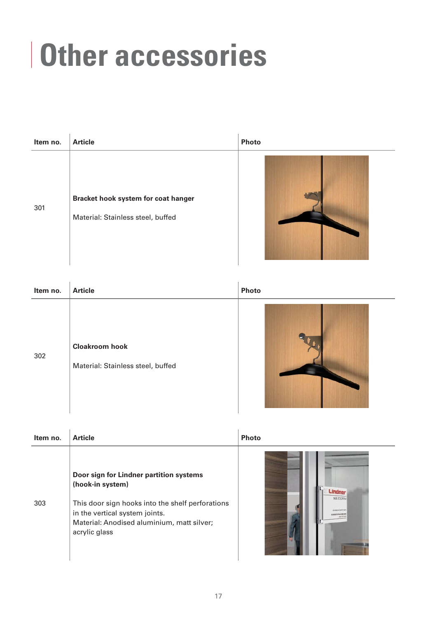## **Other accessories**

| Item no. | <b>Article</b>                                                           | Photo |
|----------|--------------------------------------------------------------------------|-------|
| 301      | Bracket hook system for coat hanger<br>Material: Stainless steel, buffed |       |

| Item no. | <b>Article</b>                                             | Photo |
|----------|------------------------------------------------------------|-------|
| 302      | <b>Cloakroom hook</b><br>Material: Stainless steel, buffed |       |

| Item no. | <b>Article</b>                                                                                                                                                                                                   | <b>Photo</b>                                                  |
|----------|------------------------------------------------------------------------------------------------------------------------------------------------------------------------------------------------------------------|---------------------------------------------------------------|
| 303      | Door sign for Lindner partition systems<br>(hook-in system)<br>This door sign hooks into the shelf perforations<br>in the vertical system joints.<br>Material: Anodised aluminium, matt silver;<br>acrylic glass | Lindner<br>NB.E3.2514<br><b>OVERNINHTON</b><br>CHRISTOPH REGO |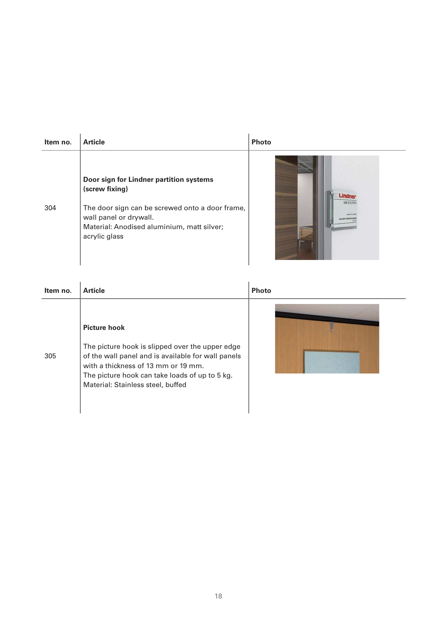| Item no. | <b>Article</b>                                                                                                                                                                                        | <b>Photo</b> |
|----------|-------------------------------------------------------------------------------------------------------------------------------------------------------------------------------------------------------|--------------|
| 304      | Door sign for Lindner partition systems<br>(screw fixing)<br>The door sign can be screwed onto a door frame,<br>wall panel or drywall.<br>Material: Anodised aluminium, matt silver;<br>acrylic glass | NB.E3.2721   |

| Item no. | <b>Article</b>                                                                                                                                                                                                                                             | <b>Photo</b> |
|----------|------------------------------------------------------------------------------------------------------------------------------------------------------------------------------------------------------------------------------------------------------------|--------------|
| 305      | <b>Picture hook</b><br>The picture hook is slipped over the upper edge<br>of the wall panel and is available for wall panels<br>with a thickness of 13 mm or 19 mm.<br>The picture hook can take loads of up to 5 kg.<br>Material: Stainless steel, buffed |              |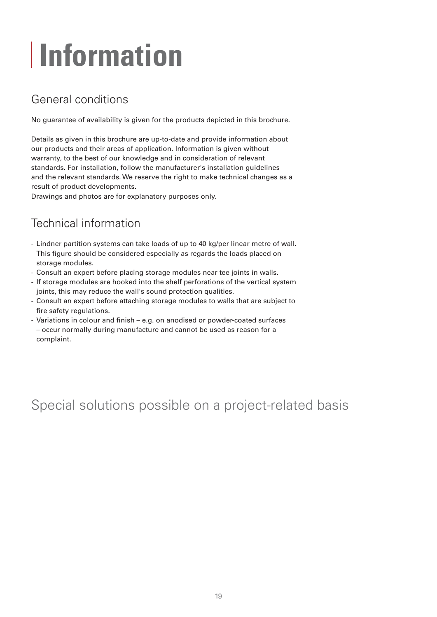# **Information**

### General conditions

No guarantee of availability is given for the products depicted in this brochure.

Details as given in this brochure are up-to-date and provide information about our products and their areas of application. Information is given without warranty, to the best of our knowledge and in consideration of relevant standards. For installation, follow the manufacturer's installation guidelines and the relevant standards. We reserve the right to make technical changes as a result of product developments.

Drawings and photos are for explanatory purposes only.

### Technical information

- Lindner partition systems can take loads of up to 40 kg/per linear metre of wall. This figure should be considered especially as regards the loads placed on storage modules.
- Consult an expert before placing storage modules near tee joints in walls.
- If storage modules are hooked into the shelf perforations of the vertical system joints, this may reduce the wall's sound protection qualities.
- Consult an expert before attaching storage modules to walls that are subject to fire safety regulations.
- Variations in colour and finish e.g. on anodised or powder-coated surfaces – occur normally during manufacture and cannot be used as reason for a complaint.

### Special solutions possible on a project-related basis